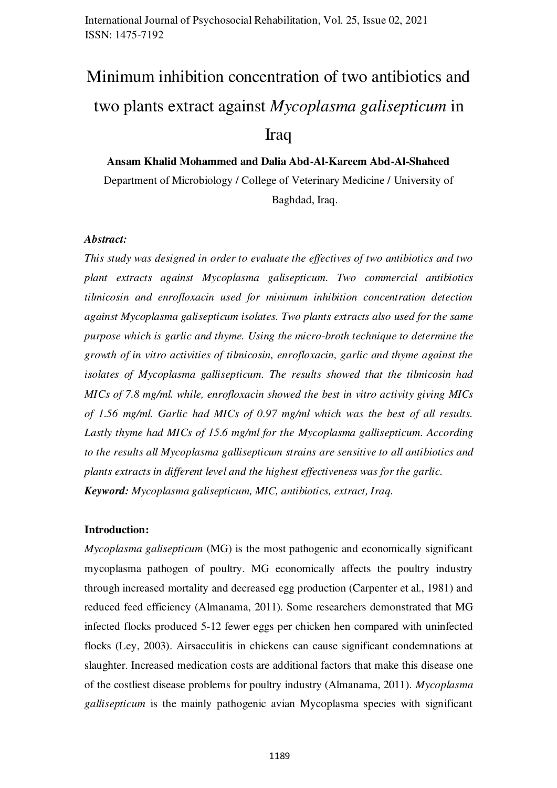# Minimum inhibition concentration of two antibiotics and <sup>1</sup> two plants extract against *Mycoplasma galisepticum* in <sup>2</sup> Iraq 30 ans and 30 ans and 30 ans and 30 ans and 30 ans and 30 ans and 30 ans and 30 ans and 30 ans and 30 ans

**Ansam Khalid Mohammed and Dalia Abd-Al-Kareem Abd-Al-Shaheed** 4 Department of Microbiology / College of Veterinary Medicine / University of 5 Baghdad, Iraq. 6

#### *Abstract:* 8

*This study was designed in order to evaluate the effectives of two antibiotics and two plant extracts against Mycoplasma galisepticum. Two commercial antibiotics tilmicosin and enrofloxacin used for minimum inhibition concentration detection against Mycoplasma galisepticum isolates. Two plants extracts also used for the same purpose which is garlic and thyme. Using the micro-broth technique to determine the growth of in vitro activities of tilmicosin, enrofloxacin, garlic and thyme against the* 14 *isolates of Mycoplasma gallisepticum. The results showed that the tilmicosin had MICs of 7.8 mg/ml. while, enrofloxacin showed the best in vitro activity giving MICs* of 1.56 mg/ml. Garlic had MICs of 0.97 mg/ml which was the best of all results. Lastly thyme had MICs of 15.6 mg/ml for the Mycoplasma gallisepticum. According to the results all Mycoplasma gallisepticum strains are sensitive to all antibiotics and *plants extracts in different level and the highest effectiveness was for the garlic. Keyword: Mycoplasma galisepticum, MIC, antibiotics, extract, Iraq.* 21

#### **Introduction:**

*Mycoplasma galisepticum* (MG) is the most pathogenic and economically significant mycoplasma pathogen of poultry. MG economically affects the poultry industry through increased mortality and decreased egg production (Carpenter et al., 1981) and reduced feed efficiency (Almanama, 2011). Some researchers demonstrated that MG infected flocks produced 5-12 fewer eggs per chicken hen compared with uninfected flocks (Ley, 2003). Airsacculitis in chickens can cause significant condemnations at slaughter. Increased medication costs are additional factors that make this disease one of the costliest disease problems for poultry industry (Almanama, 2011). *Mycoplasma* 31 *gallisepticum* is the mainly pathogenic avian Mycoplasma species with significant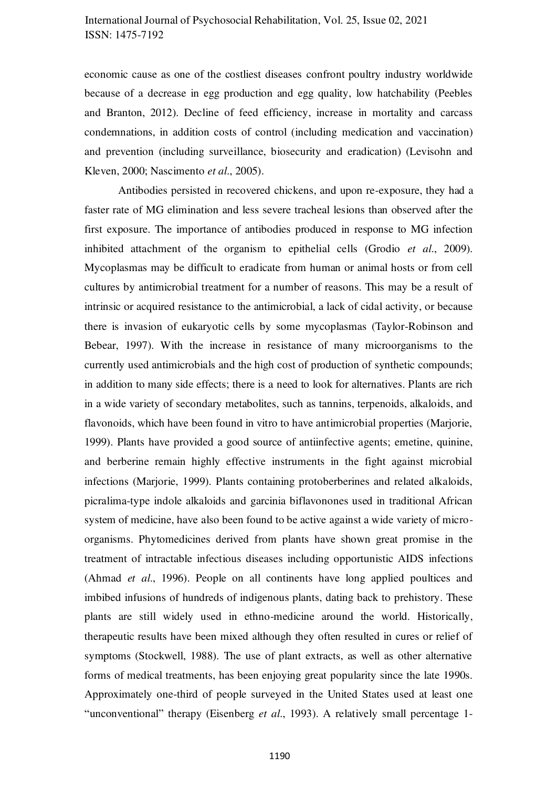economic cause as one of the costliest diseases confront poultry industry worldwide because of a decrease in egg production and egg quality, low hatchability (Peebles and Branton, 2012). Decline of feed efficiency, increase in mortality and carcass condemnations, in addition costs of control (including medication and vaccination) and prevention (including surveillance, biosecurity and eradication) (Levisohn and Kleven, 2000; Nascimento *et al.*, 2005).

Antibodies persisted in recovered chickens, and upon re-exposure, they had a faster rate of MG elimination and less severe tracheal lesions than observed after the first exposure. The importance of antibodies produced in response to MG infection 41 inhibited attachment of the organism to epithelial cells (Grodio  $et$   $al$ , 2009). Mycoplasmas may be difficult to eradicate from human or animal hosts or from cell cultures by antimicrobial treatment for a number of reasons. This may be a result of intrinsic or acquired resistance to the antimicrobial, a lack of cidal activity, or because there is invasion of eukaryotic cells by some mycoplasmas (Taylor-Robinson and 46 Bebear, 1997). With the increase in resistance of many microorganisms to the currently used antimicrobials and the high cost of production of synthetic compounds; in addition to many side effects; there is a need to look for alternatives. Plants are rich in a wide variety of secondary metabolites, such as tannins, terpenoids, alkaloids, and flavonoids, which have been found in vitro to have antimicrobial properties (Marjorie, 1999). Plants have provided a good source of antiinfective agents; emetine, quinine, and berberine remain highly effective instruments in the fight against microbial infections (Marjorie, 1999). Plants containing protoberberines and related alkaloids, picralima-type indole alkaloids and garcinia biflavonones used in traditional African 55 system of medicine, have also been found to be active against a wide variety of microorganisms. Phytomedicines derived from plants have shown great promise in the 57 treatment of intractable infectious diseases including opportunistic AIDS infections 58 (Ahmad *et al.*, 1996). People on all continents have long applied poultices and imbibed infusions of hundreds of indigenous plants, dating back to prehistory. These plants are still widely used in ethno-medicine around the world. Historically, therapeutic results have been mixed although they often resulted in cures or relief of symptoms (Stockwell, 1988). The use of plant extracts, as well as other alternative forms of medical treatments, has been enjoying great popularity since the late 1990s. Approximately one-third of people surveyed in the United States used at least one "unconventional" therapy (Eisenberg *et al.*, 1993). A relatively small percentage 1-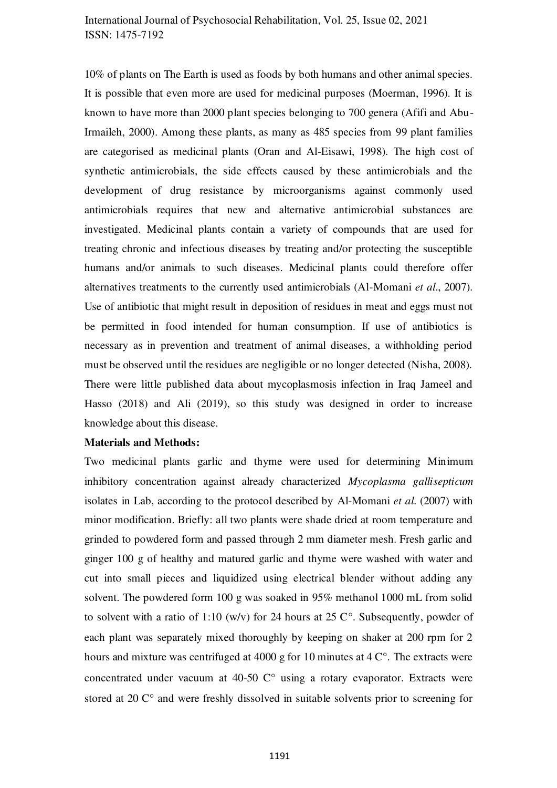10% of plants on The Earth is used as foods by both humans and other animal species. It is possible that even more are used for medicinal purposes (Moerman, 1996). It is known to have more than 2000 plant species belonging to 700 genera (Afifi and Abu-Irmaileh, 2000). Among these plants, as many as 485 species from 99 plant families are categorised as medicinal plants (Oran and Al-Eisawi, 1998). The high cost of synthetic antimicrobials, the side effects caused by these antimicrobials and the development of drug resistance by microorganisms against commonly used antimicrobials requires that new and alternative antimicrobial substances are 74 investigated. Medicinal plants contain a variety of compounds that are used for treating chronic and infectious diseases by treating and/or protecting the susceptible 76 humans and/or animals to such diseases. Medicinal plants could therefore offer alternatives treatments to the currently used antimicrobials (Al-Momani *et al.*, 2007). Use of antibiotic that might result in deposition of residues in meat and eggs must not be permitted in food intended for human consumption. If use of antibiotics is necessary as in prevention and treatment of animal diseases, a withholding period must be observed until the residues are negligible or no longer detected (Nisha, 2008). There were little published data about mycoplasmosis infection in Iraq Jameel and Hasso  $(2018)$  and Ali  $(2019)$ , so this study was designed in order to increase knowledge about this disease.

#### **Materials and Methods:**

Two medicinal plants garlic and thyme were used for determining Minimum inhibitory concentration against already characterized *Mycoplasma gallisepticum* isolates in Lab, according to the protocol described by Al-Momani *et al.* (2007) with minor modification. Briefly: all two plants were shade dried at room temperature and grinded to powdered form and passed through 2 mm diameter mesh. Fresh garlic and ginger  $100 \text{ g}$  of healthy and matured garlic and thyme were washed with water and cut into small pieces and liquidized using electrical blender without adding any solvent. The powdered form  $100$  g was soaked in  $95\%$  methanol  $1000$  mL from solid to solvent with a ratio of 1:10 (w/v) for 24 hours at 25  $\mathbb{C}^{\circ}$ . Subsequently, powder of each plant was separately mixed thoroughly by keeping on shaker at 200 rpm for 2 hours and mixture was centrifuged at 4000 g for 10 minutes at 4  $\degree$ . The extracts were concentrated under vacuum at 40-50  $C^{\circ}$  using a rotary evaporator. Extracts were stored at 20  $\mathbb{C}^{\circ}$  and were freshly dissolved in suitable solvents prior to screening for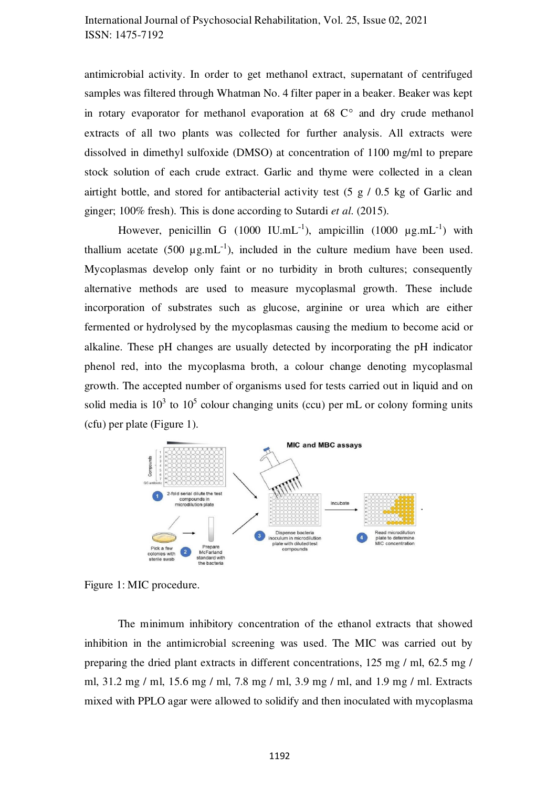antimicrobial activity. In order to get methanol extract, supernatant of centrifuged samples was filtered through Whatman No. 4 filter paper in a beaker. Beaker was kept in rotary evaporator for methanol evaporation at  $68 \degree C$  and dry crude methanol extracts of all two plants was collected for further analysis. All extracts were dissolved in dimethyl sulfoxide (DMSO) at concentration of 1100 mg/ml to prepare stock solution of each crude extract. Garlic and thyme were collected in a clean airtight bottle, and stored for antibacterial activity test  $(5 \text{ g } / 0.5 \text{ kg of}$  Garlic and ginger; 100% fresh). This is done according to Sutardi *et al*. (2015). 107

However, penicillin G (1000 IU.mL<sup>-1</sup>), ampicillin (1000  $\mu$ g.mL<sup>-1</sup>) with thallium acetate (500  $\mu$ g.mL<sup>-1</sup>), included in the culture medium have been used. Mycoplasmas develop only faint or no turbidity in broth cultures; consequently alternative methods are used to measure mycoplasmal growth. These include incorporation of substrates such as glucose, arginine or urea which are either fermented or hydrolysed by the mycoplasmas causing the medium to become acid or alkaline. These pH changes are usually detected by incorporating the pH indicator 114 phenol red, into the mycoplasma broth, a colour change denoting mycoplasmal growth. The accepted number of organisms used for tests carried out in liquid and on 116 solid media is  $10^3$  to  $10^5$  colour changing units (ccu) per mL or colony forming units  $(cfu)$  per plate (Figure 1).



Figure 1: MIC procedure.

The minimum inhibitory concentration of the ethanol extracts that showed inhibition in the antimicrobial screening was used. The MIC was carried out by preparing the dried plant extracts in different concentrations,  $125 \text{ mg } / \text{ ml}$ ,  $62.5 \text{ mg } / \text{l}$ ml, 31.2 mg / ml, 15.6 mg / ml, 7.8 mg / ml, 3.9 mg / ml, and 1.9 mg / ml. Extracts mixed with PPLO agar were allowed to solidify and then inoculated with mycoplasma 124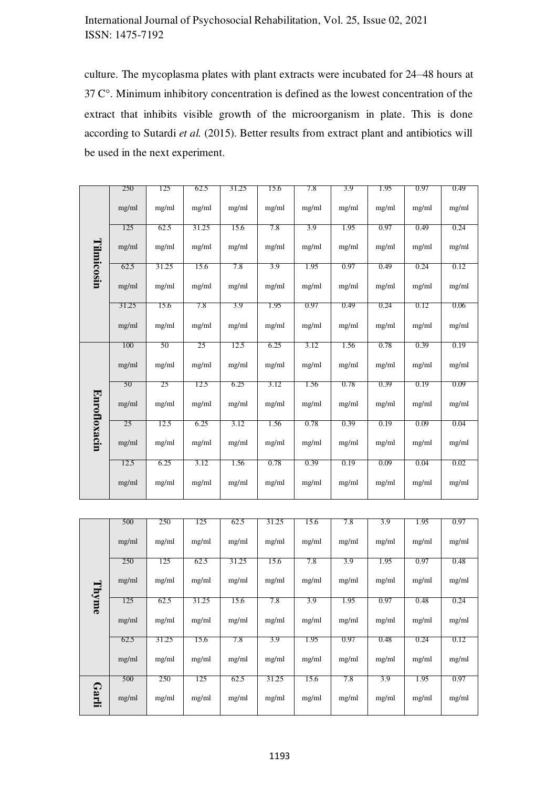culture. The mycoplasma plates with plant extracts were incubated for 24–48 hours at  $37^{\circ}$ . Minimum inhibitory concentration is defined as the lowest concentration of the extract that inhibits visible growth of the microorganism in plate. This is done according to Sutardi et al. (2015). Better results from extract plant and antibiotics will be used in the next experiment.

|                     | 250   | 125   | 62.5  | 31.25 | 15.6  | 7.8   | 3.9   | 1.95  | 0.97  | 0.49  |
|---------------------|-------|-------|-------|-------|-------|-------|-------|-------|-------|-------|
|                     | mg/ml | mg/ml | mg/ml | mg/ml | mg/ml | mg/ml | mg/ml | mg/ml | mg/ml | mg/ml |
|                     | 125   | 62.5  | 31.25 | 15.6  | 7.8   | 3.9   | 1.95  | 0.97  | 0.49  | 0.24  |
| Tilmicosin          | mg/ml | mg/ml | mg/ml | mg/ml | mg/ml | mg/ml | mg/ml | mg/ml | mg/ml | mg/ml |
|                     | 62.5  | 31.25 | 15.6  | 7.8   | 3.9   | 1.95  | 0.97  | 0.49  | 0.24  | 0.12  |
|                     | mg/ml | mg/ml | mg/ml | mg/ml | mg/ml | mg/ml | mg/ml | mg/ml | mg/ml | mg/ml |
|                     | 31.25 | 15.6  | 7.8   | 3.9   | 1.95  | 0.97  | 0.49  | 0.24  | 0.12  | 0.06  |
|                     | mg/ml | mg/ml | mg/ml | mg/ml | mg/ml | mg/ml | mg/ml | mg/ml | mg/ml | mg/ml |
|                     | 100   | 50    | 25    | 12.5  | 6.25  | 3.12  | 1.56  | 0.78  | 0.39  | 0.19  |
|                     | mg/ml | mg/ml | mg/ml | mg/ml | mg/ml | mg/ml | mg/ml | mg/ml | mg/ml | mg/ml |
|                     | 50    | 25    | 12.5  | 6.25  | 3.12  | 1.56  | 0.78  | 0.39  | 0.19  | 0.09  |
| <b>Enrofloxacin</b> | mg/ml | mg/ml | mg/ml | mg/ml | mg/ml | mg/ml | mg/ml | mg/ml | mg/ml | mg/ml |
|                     | 25    | 12.5  | 6.25  | 3.12  | 1.56  | 0.78  | 0.39  | 0.19  | 0.09  | 0.04  |
|                     | mg/ml | mg/ml | mg/ml | mg/ml | mg/ml | mg/ml | mg/ml | mg/ml | mg/ml | mg/ml |
|                     | 12.5  | 6.25  | 3.12  | 1.56  | 0.78  | 0.39  | 0.19  | 0.09  | 0.04  | 0.02  |
|                     | mg/ml | mg/ml | mg/ml | mg/ml | mg/ml | mg/ml | mg/ml | mg/ml | mg/ml | mg/ml |

|       | 500   | 250   | 125   | 62.5  | 31.25 | 15.6  | 7.8   | 3.9   | 1.95  | 0.97  |
|-------|-------|-------|-------|-------|-------|-------|-------|-------|-------|-------|
|       | mg/ml | mg/ml | mg/ml | mg/ml | mg/ml | mg/ml | mg/ml | mg/ml | mg/ml | mg/ml |
|       | 250   | 125   | 62.5  | 31.25 | 15.6  | 7.8   | 3.9   | 1.95  | 0.97  | 0.48  |
| Thyme | mg/ml | mg/ml | mg/ml | mg/ml | mg/ml | mg/ml | mg/ml | mg/ml | mg/ml | mg/ml |
|       | 125   | 62.5  | 31.25 | 15.6  | 7.8   | 3.9   | 1.95  | 0.97  | 0.48  | 0.24  |
|       | mg/ml | mg/ml | mg/ml | mg/ml | mg/ml | mg/ml | mg/ml | mg/ml | mg/ml | mg/ml |
|       | 62.5  | 31.25 | 15.6  | 7.8   | 3.9   | 1.95  | 0.97  | 0.48  | 0.24  | 0.12  |
|       | mg/ml | mg/ml | mg/ml | mg/ml | mg/ml | mg/ml | mg/ml | mg/ml | mg/ml | mg/ml |
|       | 500   | 250   | 125   | 62.5  | 31.25 | 15.6  | 7.8   | 3.9   | 1.95  | 0.97  |
| Garli | mg/ml | mg/ml | mg/ml | mg/ml | mg/ml | mg/ml | mg/ml | mg/ml | mg/ml | mg/ml |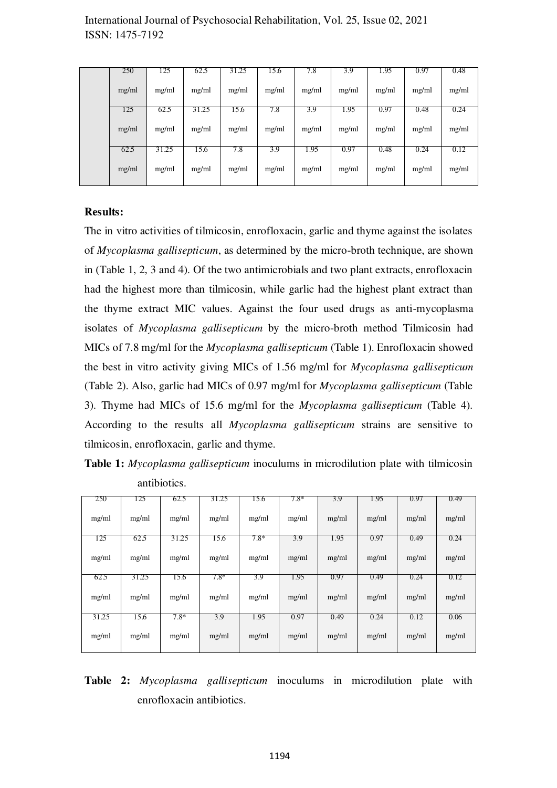| 250   | 125   | 62.5  | 31.25 | 15.6  | 7.8   | 3.9   | 1.95  | 0.97  | 0.48  |
|-------|-------|-------|-------|-------|-------|-------|-------|-------|-------|
| mg/ml | mg/ml | mg/ml | mg/ml | mg/ml | mg/ml | mg/ml | mg/ml | mg/ml | mg/ml |
| 125   | 62.5  | 31.25 | 15.6  | 7.8   | 3.9   | 1.95  | 0.97  | 0.48  | 0.24  |
| mg/ml | mg/ml | mg/ml | mg/ml | mg/ml | mg/ml | mg/ml | mg/ml | mg/ml | mg/ml |
| 62.5  | 31.25 | 15.6  | 7.8   | 3.9   | 1.95  | 0.97  | 0.48  | 0.24  | 0.12  |
| mg/ml | mg/ml | mg/ml | mg/ml | mg/ml | mg/ml | mg/ml | mg/ml | mg/ml | mg/ml |

#### **Results: 1333**

The in vitro activities of tilmicosin, enrofloxacin, garlic and thyme against the isolates of *Mycoplasma gallisepticum*, as determined by the micro-broth technique, are shown in (Table 1, 2, 3 and 4). Of the two antimicrobials and two plant extracts, enrofloxacin had the highest more than tilmicosin, while garlic had the highest plant extract than the thyme extract MIC values. Against the four used drugs as anti-mycoplasma isolates of *Mycoplasma gallisepticum* by the micro-broth method Tilmicosin had MICs of 7.8 mg/ml for the *Mycoplasma gallisepticum* (Table 1). Enrofloxacin showed the best in vitro activity giving MICs of 1.56 mg/ml for *Mycoplasma gallisepticum* (Table 2). Also, garlic had MICs of 0.97 mg/ml for *Mycoplasma gallisepticum* (Table 3). Thyme had MICs of 15.6 mg/ml for the *Mycoplasma gallisepticum* (Table 4). According to the results all *Mycoplasma gallisepticum* strains are sensitive to tilmicosin, enrofloxacin, garlic and thyme.

Table 1: *Mycoplasma gallisepticum* inoculums in microdilution plate with tilmicosin antibiotics.

| 250   | 125   | 62.5   | 31.25  | 15.6   | $7.8*$ | 3.9   | 1.95  | 0.97  | 0.49  |
|-------|-------|--------|--------|--------|--------|-------|-------|-------|-------|
| mg/ml | mg/ml | mg/ml  | mg/ml  | mg/ml  | mg/ml  | mg/ml | mg/ml | mg/ml | mg/ml |
| 125   | 62.5  | 31.25  | 15.6   | $7.8*$ | 3.9    | 1.95  | 0.97  | 0.49  | 0.24  |
| mg/ml | mg/ml | mg/ml  | mg/ml  | mg/ml  | mg/ml  | mg/ml | mg/ml | mg/ml | mg/ml |
| 62.5  | 31.25 | 15.6   | $7.8*$ | 3.9    | 1.95   | 0.97  | 0.49  | 0.24  | 0.12  |
| mg/ml | mg/ml | mg/ml  | mg/ml  | mg/ml  | mg/ml  | mg/ml | mg/ml | mg/ml | mg/ml |
| 31.25 | 15.6  | $7.8*$ | 3.9    | 1.95   | 0.97   | 0.49  | 0.24  | 0.12  | 0.06  |
| mg/ml | mg/ml | mg/ml  | mg/ml  | mg/ml  | mg/ml  | mg/ml | mg/ml | mg/ml | mg/ml |

Table 2: *Mycoplasma gallisepticum* inoculums in microdilution plate with enrofloxacin antibiotics.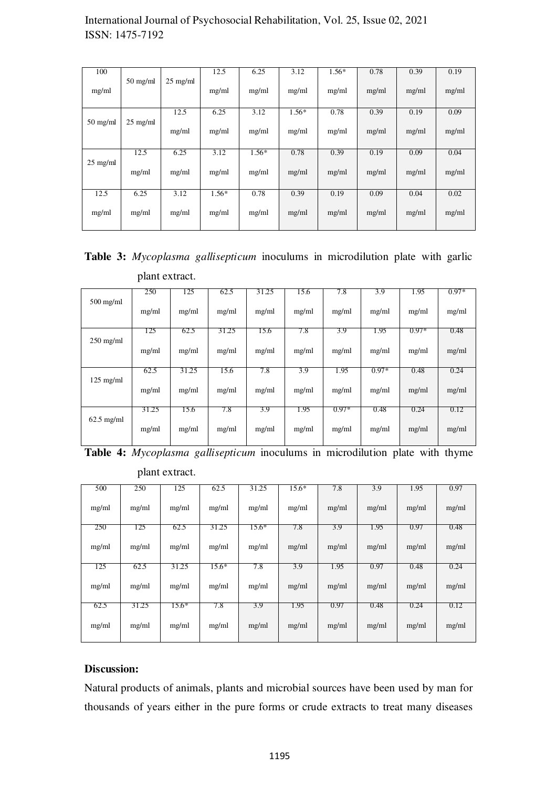| 100                |                    |                    | 12.5    | 6.25    | 3.12    | $1.56*$ | 0.78  | 0.39  | 0.19  |
|--------------------|--------------------|--------------------|---------|---------|---------|---------|-------|-------|-------|
|                    |                    |                    |         |         |         |         |       |       |       |
|                    | $50 \text{ mg/ml}$ | $25 \text{ mg/ml}$ |         |         |         |         |       |       |       |
| mg/ml              |                    |                    | mg/ml   | mg/ml   | mg/ml   | mg/ml   | mg/ml | mg/ml | mg/ml |
|                    |                    |                    |         |         |         |         |       |       |       |
|                    |                    | 12.5               | 6.25    | 3.12    | $1.56*$ | 0.78    | 0.39  | 0.19  | 0.09  |
| $50$ mg/ml         | $25 \text{ mg/ml}$ |                    |         |         |         |         |       |       |       |
|                    |                    | mg/ml              | mg/ml   | mg/ml   | mg/ml   | mg/ml   | mg/ml | mg/ml | mg/ml |
|                    |                    |                    |         |         |         |         |       |       |       |
|                    |                    |                    |         |         |         |         |       |       |       |
|                    | 12.5               | 6.25               | 3.12    | $1.56*$ | 0.78    | 0.39    | 0.19  | 0.09  | 0.04  |
| $25 \text{ mg/ml}$ |                    |                    |         |         |         |         |       |       |       |
|                    | mg/ml              | mg/ml              | mg/ml   | mg/ml   | mg/ml   | mg/ml   | mg/ml | mg/ml | mg/ml |
|                    |                    |                    |         |         |         |         |       |       |       |
| 12.5               | 6.25               | 3.12               | $1.56*$ | 0.78    | 0.39    | 0.19    | 0.09  | 0.04  | 0.02  |
|                    |                    |                    |         |         |         |         |       |       |       |
| mg/ml              | mg/ml              | mg/ml              | mg/ml   | mg/ml   | mg/ml   | mg/ml   | mg/ml | mg/ml | mg/ml |
|                    |                    |                    |         |         |         |         |       |       |       |
|                    |                    |                    |         |         |         |         |       |       |       |

|                | <b>Table 3:</b> Mycoplasma gallisepticum inoculums in microdilution plate with garlic |  |  |  |  |
|----------------|---------------------------------------------------------------------------------------|--|--|--|--|
| plant extract. |                                                                                       |  |  |  |  |

|                        | 250   | 125   | 62.5  | 31.25 | 15.6  | 7.8     | 3.9     | 1.95    | $0.97*$ |
|------------------------|-------|-------|-------|-------|-------|---------|---------|---------|---------|
| $500 \,\mathrm{mg/ml}$ | mg/ml | mg/ml | mg/ml | mg/ml | mg/ml | mg/ml   | mg/ml   | mg/ml   | mg/ml   |
|                        | 125   | 62.5  | 31.25 | 15.6  | 7.8   | 3.9     | 1.95    | $0.97*$ | 0.48    |
| $250$ mg/ml            | mg/ml | mg/ml | mg/ml | mg/ml | mg/ml | mg/ml   | mg/ml   | mg/ml   | mg/ml   |
|                        | 62.5  | 31.25 | 15.6  | 7.8   | 3.9   | 1.95    | $0.97*$ | 0.48    | 0.24    |
| $125 \text{ mg/ml}$    | mg/ml | mg/ml | mg/ml | mg/ml | mg/ml | mg/ml   | mg/ml   | mg/ml   | mg/ml   |
|                        | 31.25 | 15.6  | 7.8   | 3.9   | 1.95  | $0.97*$ | 0.48    | 0.24    | 0.12    |
| $62.5$ mg/ml           | mg/ml | mg/ml | mg/ml | mg/ml | mg/ml | mg/ml   | mg/ml   | mg/ml   | mg/ml   |

| Table 4: Mycoplasma gallisepticum inoculums in microdilution plate with thyme |
|-------------------------------------------------------------------------------|
|-------------------------------------------------------------------------------|

| plant extract. |
|----------------|
|----------------|

| 500   | 250   | 125     | 62.5    | 31.25   | $15.6*$ | 7.8   | 3.9   | 1.95  | 0.97  |
|-------|-------|---------|---------|---------|---------|-------|-------|-------|-------|
| mg/ml | mg/ml | mg/ml   | mg/ml   | mg/ml   | mg/ml   | mg/ml | mg/ml | mg/ml | mg/ml |
| 250   | 125   | 62.5    | 31.25   | $15.6*$ | 7.8     | 3.9   | 1.95  | 0.97  | 0.48  |
| mg/ml | mg/ml | mg/ml   | mg/ml   | mg/ml   | mg/ml   | mg/ml | mg/ml | mg/ml | mg/ml |
| 125   | 62.5  | 31.25   | $15.6*$ | 7.8     | 3.9     | 1.95  | 0.97  | 0.48  | 0.24  |
| mg/ml | mg/ml | mg/ml   | mg/ml   | mg/ml   | mg/ml   | mg/ml | mg/ml | mg/ml | mg/ml |
| 62.5  | 31.25 | $15.6*$ | 7.8     | 3.9     | 1.95    | 0.97  | 0.48  | 0.24  | 0.12  |
| mg/ml | mg/ml | mg/ml   | mg/ml   | mg/ml   | mg/ml   | mg/ml | mg/ml | mg/ml | mg/ml |

#### **Discussion:**

Natural products of animals, plants and microbial sources have been used by man for thousands of years either in the pure forms or crude extracts to treat many diseases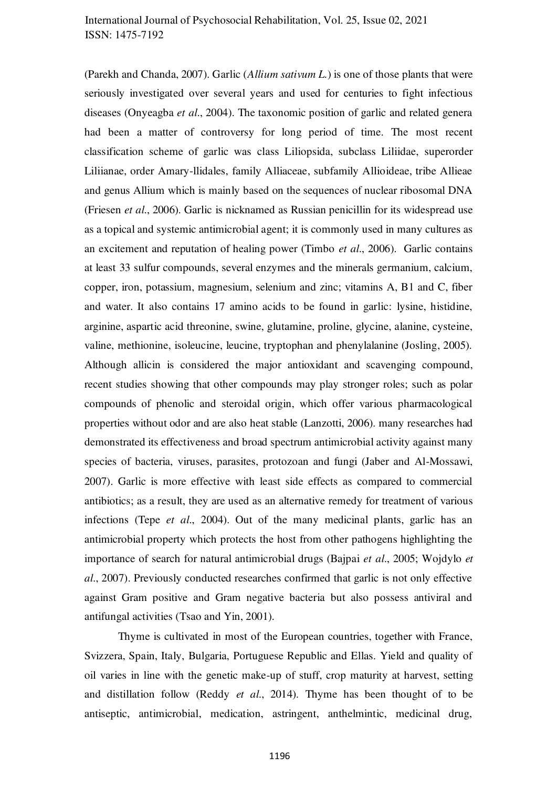(Parekh and Chanda, 2007). Garlic (*Allium sativum L*.) is one of those plants that were seriously investigated over several years and used for centuries to fight infectious diseases (Onyeagba *et al.*, 2004). The taxonomic position of garlic and related genera had been a matter of controversy for long period of time. The most recent classification scheme of garlic was class Liliopsida, subclass Liliidae, superorder Liliianae, order Amary-Ilidales, family Alliaceae, subfamily Allioideae, tribe Allieae and genus Allium which is mainly based on the sequences of nuclear ribosomal DNA (Friesen *et al.*, 2006). Garlic is nicknamed as Russian penicillin for its widespread use as a topical and systemic antimicrobial agent; it is commonly used in many cultures as an excitement and reputation of healing power (Timbo *et al.*, 2006). Garlic contains at least 33 sulfur compounds, several enzymes and the minerals germanium, calcium, copper, iron, potassium, magnesium, selenium and zinc; vitamins A, B1 and C, fiber and water. It also contains 17 amino acids to be found in garlic: lysine, histidine, arginine, aspartic acid threonine, swine, glutamine, proline, glycine, alanine, cysteine, 173 valine, methionine, isoleucine, leucine, tryptophan and phenylalanine (Josling, 2005). Although allicin is considered the major antioxidant and scavenging compound, recent studies showing that other compounds may play stronger roles; such as polar compounds of phenolic and steroidal origin, which offer various pharmacological properties without odor and are also heat stable (Lanzotti, 2006). many researches had demonstrated its effectiveness and broad spectrum antimicrobial activity against many species of bacteria, viruses, parasites, protozoan and fungi (Jaber and Al-Mossawi, 2007). Garlic is more effective with least side effects as compared to commercial antibiotics; as a result, they are used as an alternative remedy for treatment of various 182 infections (Tepe *et al.*, 2004). Out of the many medicinal plants, garlic has an antimicrobial property which protects the host from other pathogens highlighting the 184 importance of search for natural antimicrobial drugs (Bajpai *et al.*, 2005; Wojdylo *et al.*, 2007). Previously conducted researches confirmed that garlic is not only effective against Gram positive and Gram negative bacteria but also possess antiviral and antifungal activities (Tsao and Yin, 2001).

Thyme is cultivated in most of the European countries, together with France, Svizzera, Spain, Italy, Bulgaria, Portuguese Republic and Ellas. Yield and quality of oil varies in line with the genetic make-up of stuff, crop maturity at harvest, setting 191 and distillation follow (Reddy *et al.*, 2014). Thyme has been thought of to be antiseptic, antimicrobial, medication, astringent, anthelmintic, medicinal drug,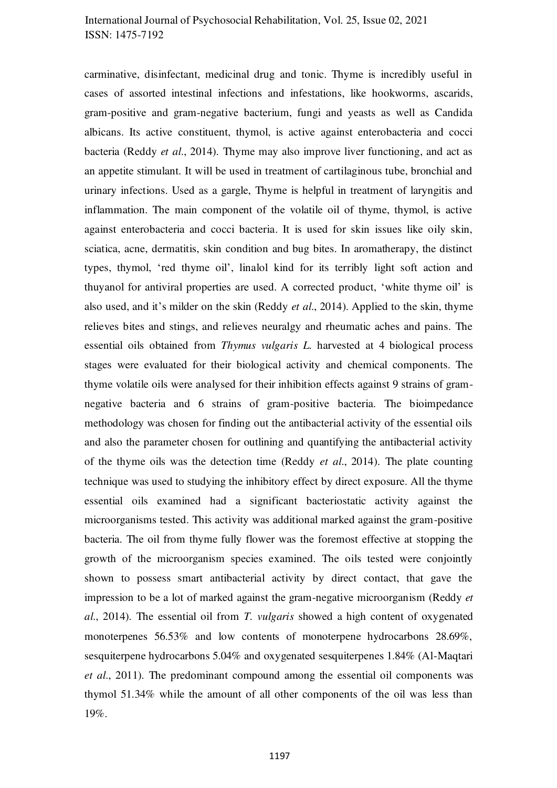carminative, disinfectant, medicinal drug and tonic. Thyme is incredibly useful in 194 cases of assorted intestinal infections and infestations, like hookworms, ascarids, gram-positive and gram-negative bacterium, fungi and yeasts as well as Candida 196 albicans. Its active constituent, thymol, is active against enterobacteria and cocci bacteria (Reddy *et al.*, 2014). Thyme may also improve liver functioning, and act as an appetite stimulant. It will be used in treatment of cartilaginous tube, bronchial and urinary infections. Used as a gargle, Thyme is helpful in treatment of laryngitis and inflammation. The main component of the volatile oil of thyme, thymol, is active against enterobacteria and cocci bacteria. It is used for skin issues like oily skin, sciatica, acne, dermatitis, skin condition and bug bites. In aromatherapy, the distinct types, thymol, 'red thyme oil', linalol kind for its terribly light soft action and thuyanol for antiviral properties are used. A corrected product, 'white thyme oil' is also used, and it's milder on the skin (Reddy *et al.*, 2014). Applied to the skin, thyme relieves bites and stings, and relieves neuralgy and rheumatic aches and pains. The essential oils obtained from *Thymus vulgaris L.* harvested at 4 biological process stages were evaluated for their biological activity and chemical components. The thyme volatile oils were analysed for their inhibition effects against 9 strains of gramnegative bacteria and 6 strains of gram-positive bacteria. The bioimpedance methodology was chosen for finding out the antibacterial activity of the essential oils and also the parameter chosen for outlining and quantifying the antibacterial activity of the thyme oils was the detection time (Reddy *et al.*, 2014). The plate counting technique was used to studying the inhibitory effect by direct exposure. All the thyme essential oils examined had a significant bacteriostatic activity against the microorganisms tested. This activity was additional marked against the gram-positive 217 bacteria. The oil from thyme fully flower was the foremost effective at stopping the growth of the microorganism species examined. The oils tested were conjointly 219 shown to possess smart antibacterial activity by direct contact, that gave the impression to be a lot of marked against the gram-negative microorganism (Reddy *et al.*, 2014). The essential oil from *T. vulgaris* showed a high content of oxygenated monoterpenes 56.53% and low contents of monoterpene hydrocarbons 28.69%, sesquiterpene hydrocarbons 5.04% and oxygenated sesquiterpenes 1.84% (Al-Maqtari *et al.*, 2011). The predominant compound among the essential oil components was thymol 51.34% while the amount of all other components of the oil was less than 19%. 227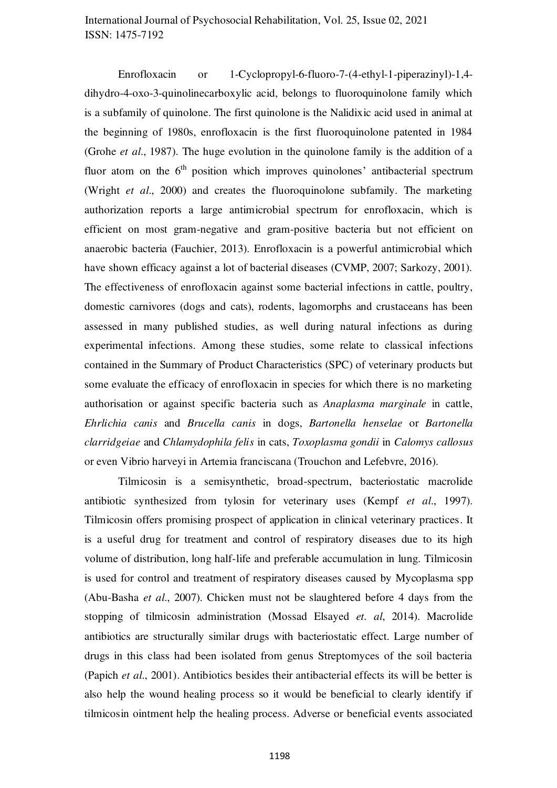Enrofloxacin or 1-Cyclopropyl-6-fluoro-7- $(4$ -ethyl-1-piperazinyl)-1,4dihydro-4-oxo-3-quinolinecarboxylic acid, belongs to fluoroquinolone family which is a subfamily of quinolone. The first quinolone is the Nalidixic acid used in animal at the beginning of 1980s, enrofloxacin is the first fluoroquinolone patented in 1984 (Grohe *et al.*, 1987). The huge evolution in the quinolone family is the addition of a fluor atom on the  $6<sup>th</sup>$  position which improves quinolones' antibacterial spectrum (Wright *et al.*, 2000) and creates the fluoroquinolone subfamily. The marketing authorization reports a large antimicrobial spectrum for enrofloxacin, which is efficient on most gram-negative and gram-positive bacteria but not efficient on anaerobic bacteria (Fauchier, 2013). Enrofloxacin is a powerful antimicrobial which have shown efficacy against a lot of bacterial diseases (CVMP, 2007; Sarkozy, 2001). The effectiveness of enrofloxacin against some bacterial infections in cattle, poultry, domestic carnivores (dogs and cats), rodents, lagomorphs and crustaceans has been assessed in many published studies, as well during natural infections as during experimental infections. Among these studies, some relate to classical infections contained in the Summary of Product Characteristics (SPC) of veterinary products but some evaluate the efficacy of enrofloxacin in species for which there is no marketing authorisation or against specific bacteria such as *Anaplasma marginale* in cattle, *Ehrlichia canis* and *Brucella canis* in dogs, *Bartonella henselae* or *Bartonella* 246 *clarridgeiae* and *Chlamydophila felis* in cats, *Toxoplasma gondii* in *Calomys callosus* or even Vibrio harveyi in Artemia franciscana (Trouchon and Lefebvre, 2016).

Tilmicosin is a semisynthetic, broad-spectrum, bacteriostatic macrolide antibiotic synthesized from tylosin for veterinary uses (Kempf *et al.*, 1997). Tilmicosin offers promising prospect of application in clinical veterinary practices. It is a useful drug for treatment and control of respiratory diseases due to its high volume of distribution, long half-life and preferable accumulation in lung. Tilmicosin 253 is used for control and treatment of respiratory diseases caused by Mycoplasma spp (Abu-Basha *et al.*, 2007). Chicken must not be slaughtered before 4 days from the stopping of tilmicosin administration (Mossad Elsayed *et. al*, 2014). Macrolide antibiotics are structurally similar drugs with bacteriostatic effect. Large number of drugs in this class had been isolated from genus Streptomyces of the soil bacteria (Papich *et al.*, 2001). Antibiotics besides their antibacterial effects its will be better is also help the wound healing process so it would be beneficial to clearly identify if tilmicosin ointment help the healing process. Adverse or beneficial events associated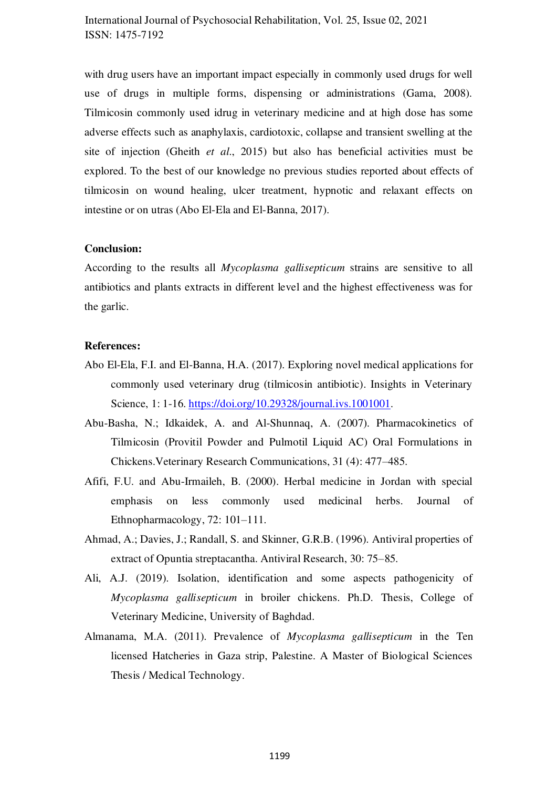with drug users have an important impact especially in commonly used drugs for well use of drugs in multiple forms, dispensing or administrations (Gama, 2008). Tilmicosin commonly used idrug in veterinary medicine and at high dose has some 264 adverse effects such as anaphylaxis, cardiotoxic, collapse and transient swelling at the site of injection (Gheith *et al.*, 2015) but also has beneficial activities must be explored. To the best of our knowledge no previous studies reported about effects of tilmicosin on wound healing, ulcer treatment, hypnotic and relaxant effects on intestine or on utras (Abo El-Ela and El-Banna, 2017).

#### **Conclusion:**

According to the results all *Mycoplasma gallisepticum* strains are sensitive to all antibiotics and plants extracts in different level and the highest effectiveness was for the garlic.

#### **References:**

- Abo El-Ela, F.I. and El-Banna, H.A. (2017). Exploring novel medical applications for commonly used veterinary drug (tilmicosin antibiotic). Insights in Veterinary Science, 1: 1-16. [https://doi.org/10.29328/journal.ivs.1001001.](https://doi.org/10.29328/journal.ivs.1001001)
- Abu-Basha, N.; Idkaidek, A. and Al-Shunnaq, A. (2007). Pharmacokinetics of Tilmicosin (Provitil Powder and Pulmotil Liquid AC) Oral Formulations in 281 Chickens. Veterinary Research Communications, 31 (4): 477–485.
- Afifi, F.U. and Abu-Irmaileh, B. (2000). Herbal medicine in Jordan with special emphasis on less commonly used medicinal herbs. Journal of Ethnopharmacology,  $72:101-111$ .
- Ahmad, A.; Davies, J.; Randall, S. and Skinner, G.R.B. (1996). Antiviral properties of extract of Opuntia streptacantha. Antiviral Research, 30: 75–85.
- Ali, A.J. (2019). Isolation, identification and some aspects pathogenicity of *Mycoplasma gallisepticum* in broiler chickens. Ph.D. Thesis, College of Veterinary Medicine, University of Baghdad.
- Almanama, M.A. (2011). Prevalence of *Mycoplasma gallisepticum* in the Ten licensed Hatcheries in Gaza strip, Palestine. A Master of Biological Sciences Thesis / Medical Technology.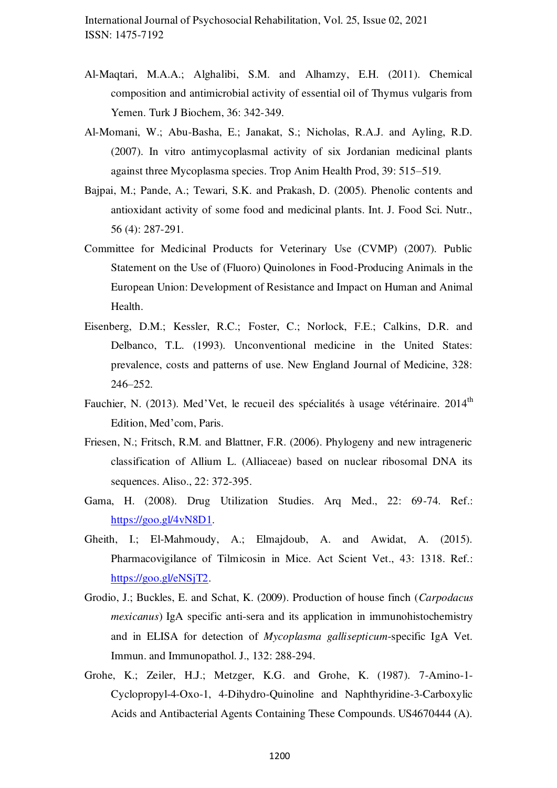- Al-Maqtari, M.A.A.; Alghalibi, S.M. and Alhamzy, E.H. (2011). Chemical composition and antimicrobial activity of essential oil of Thymus vulgaris from Yemen. Turk J Biochem, 36: 342-349.
- Al-Momani, W.; Abu-Basha, E.; Janakat, S.; Nicholas, R.A.J. and Ayling, R.D.  $(2007)$ . In vitro antimycoplasmal activity of six Jordanian medicinal plants against three Mycoplasma species. Trop Anim Health Prod, 39: 515–519.
- Bajpai, M.; Pande, A.; Tewari, S.K. and Prakash, D. (2005). Phenolic contents and antioxidant activity of some food and medicinal plants. Int. J. Food Sci. Nutr., 56 (4): 287-291.
- Committee for Medicinal Products for Veterinary Use (CVMP) (2007). Public Statement on the Use of (Fluoro) Quinolones in Food-Producing Animals in the European Union: Development of Resistance and Impact on Human and Animal Health. **306** and 306 and 306 and 306 and 306 and 306 and 306 and 306 and 306 and 306 and 306 and 306 and 306 and 306 and 306 and 306 and 306 and 306 and 306 and 306 and 306 and 306 and 306 and 306 and 306 and 306 and 306
- Eisenberg, D.M.; Kessler, R.C.; Foster, C.; Norlock, F.E.; Calkins, D.R. and Delbanco, T.L. (1993). Unconventional medicine in the United States: prevalence, costs and patterns of use. New England Journal of Medicine, 328: 246–252. 310
- Fauchier, N. (2013). Med'Vet, le recueil des spécialités à usage vétérinaire. 2014<sup>th</sup>  $\mathbf{1}_{\text{max}}$ Edition, Med'com, Paris.
- Friesen, N.; Fritsch, R.M. and Blattner, F.R. (2006). Phylogeny and new intrageneric classification of Allium L. (Alliaceae) based on nuclear ribosomal DNA its sequences. Aliso., 22: 372-395.
- Gama, H. (2008). Drug Utilization Studies. Arq Med., 22: 69-74. Ref.: https://goo.gl/4v $N8D1$ .
- Gheith, I.; El-Mahmoudy, A.; Elmajdoub, A. and Awidat, A. (2015). Pharmacovigilance of Tilmicosin in Mice. Act Scient Vet., 43: 1318. Ref.: [https://goo.gl/eNSjT2.](https://goo.gl/eNSjT2)
- Grodio, J.; Buckles, E. and Schat, K. (2009). Production of house finch (*Carpodacus mexicanus*) IgA specific anti-sera and its application in immunohistochemistry and in ELISA for detection of *Mycoplasma gallisepticum*-specific IgA Vet. Immun. and Immunopathol. J., 132: 288-294.
- Grohe, K.; Zeiler, H.J.; Metzger, K.G. and Grohe, K. (1987). 7-Amino-1- $Cyclopropyl-4-Oxo-1$ , 4-Dihydro-Quinoline and Naphthyridine-3-Carboxylic Acids and Antibacterial Agents Containing These Compounds. US4670444 (A).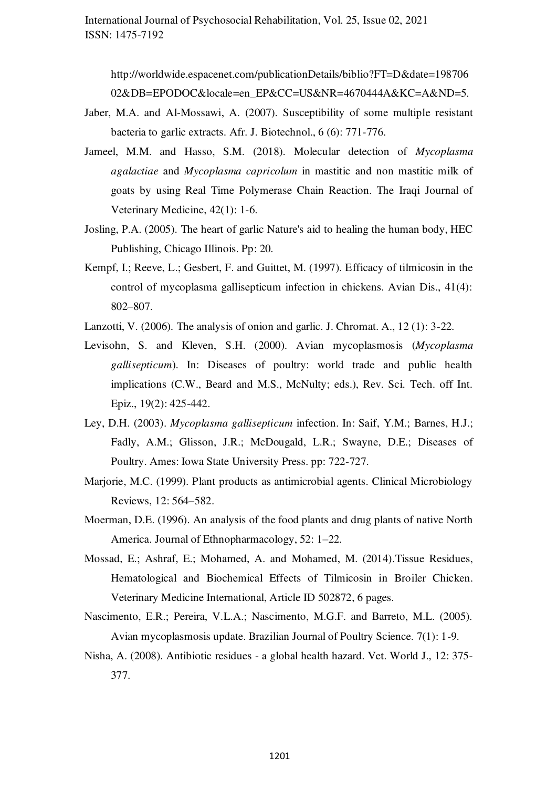http://worldwide.espacenet.com/publicationDetails/biblio?FT=D&date=198706 328 02&DB=EPODOC&locale=en\_EP&CC=US&NR=4670444A&KC=A&ND=5.

- Jaber, M.A. and Al-Mossawi, A. (2007). Susceptibility of some multiple resistant bacteria to garlic extracts. Afr. J. Biotechnol., 6 (6): 771-776.
- Jameel, M.M. and Hasso, S.M. (2018). Molecular detection of *Mycoplasma agalactiae* and *Mycoplasma capricolum* in mastitic and non mastitic milk of goats by using Real Time Polymerase Chain Reaction. The Iraqi Journal of Veterinary Medicine,  $42(1)$ : 1-6.
- Josling, P.A. (2005). The heart of garlic Nature's aid to healing the human body, HEC Publishing, Chicago Illinois. Pp: 20.
- Kempf, I.; Reeve, L.; Gesbert, F. and Guittet, M. (1997). Efficacy of tilmicosin in the control of mycoplasma gallisepticum infection in chickens. Avian Dis., 41(4): 802–807.
- Lanzotti, V. (2006). The analysis of onion and garlic. J. Chromat. A.,  $12$  (1): 3-22.
- Levisohn, S. and Kleven, S.H. (2000). Avian mycoplasmosis (*Mycoplasma gallisepticum*). In: Diseases of poultry: world trade and public health implications (C.W., Beard and M.S., McNulty; eds.), Rev. Sci. Tech. off Int. Epiz., 19(2): 425-442.
- Ley, D.H. (2003). *Mycoplasma gallisepticum* infection. In: Saif, Y.M.; Barnes, H.J.; Fadly, A.M.; Glisson, J.R.; McDougald, L.R.; Swayne, D.E.; Diseases of Poultry. Ames: Iowa State University Press. pp: 722-727.
- Marjorie, M.C. (1999). Plant products as antimicrobial agents. Clinical Microbiology Reviews, 12: 564–582.
- Moerman, D.E. (1996). An analysis of the food plants and drug plants of native North America. Journal of Ethnopharmacology, 52: 1–22.
- Mossad, E.; Ashraf, E.; Mohamed, A. and Mohamed, M. (2014). Tissue Residues, Hematological and Biochemical Effects of Tilmicosin in Broiler Chicken. Veterinary Medicine International, Article ID 502872, 6 pages.
- Nascimento, E.R.; Pereira, V.L.A.; Nascimento, M.G.F. and Barreto, M.L. (2005). Avian mycoplasmosis update. Brazilian Journal of Poultry Science. 7(1): 1-9.
- Nisha, A. (2008). Antibiotic residues a global health hazard. Vet. World J., 12: 375- $377.$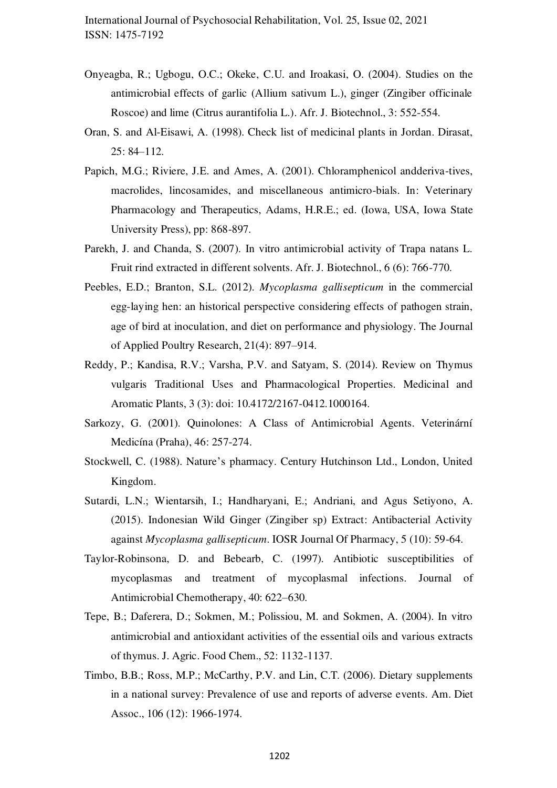- Onyeagba, R.; Ugbogu, O.C.; Okeke, C.U. and Iroakasi, O. (2004). Studies on the 360 antimicrobial effects of garlic (Allium sativum L.), ginger (Zingiber officinale 361 Roscoe) and lime (Citrus aurantifolia L.). Afr. J. Biotechnol., 3: 552-554.
- Oran, S. and Al-Eisawi, A. (1998). Check list of medicinal plants in Jordan. Dirasat,  $25: 84 - 112.$
- Papich, M.G.; Riviere, J.E. and Ames, A. (2001). Chloramphenicol andderiva-tives, macrolides, lincosamides, and miscellaneous antimicro-bials. In: Veterinary Pharmacology and Therapeutics, Adams, H.R.E.; ed. (Iowa, USA, Iowa State University Press), pp: 868-897.
- Parekh, J. and Chanda, S. (2007). In vitro antimicrobial activity of Trapa natans L. Fruit rind extracted in different solvents. Afr. J. Biotechnol., 6 (6): 766-770.
- Peebles, E.D.; Branton, S.L. (2012). *Mycoplasma gallisepticum* in the commercial egg-laying hen: an historical perspective considering effects of pathogen strain, age of bird at inoculation, and diet on performance and physiology. The Journal of Applied Poultry Research,  $21(4)$ : 897–914.
- Reddy, P.; Kandisa, R.V.; Varsha, P.V. and Satyam, S. (2014). Review on Thymus vulgaris Traditional Uses and Pharmacological Properties. Medicinal and 376 Aromatic Plants, 3 (3): doi: 10.4172/2167-0412.1000164.
- Sarkozy, G. (2001). Quinolones: A Class of Antimicrobial Agents. Veterinární Medicína (Praha), 46: 257-274.
- Stockwell, C. (1988). Nature's pharmacy. Century Hutchinson Ltd., London, United Kingdom.
- Sutardi, L.N.; Wientarsih, I.; Handharyani, E.; Andriani, and Agus Setiyono, A.  $(2015)$ . Indonesian Wild Ginger (Zingiber sp) Extract: Antibacterial Activity against *Mycoplasma gallisepticum*. **IOSR Journal Of Pharmacy**, 5 (10): 59-64.
- Taylor-Robinsona, D. and Bebearb, C. (1997). Antibiotic susceptibilities of mycoplasmas and treatment of mycoplasmal infections. Journal of Antimicrobial Chemotherapy, 40: 622–630.
- Tepe, B.; Daferera, D.; Sokmen, M.; Polissiou, M. and Sokmen, A. (2004). In vitro antimicrobial and antioxidant activities of the essential oils and various extracts of thymus. J. Agric. Food Chem., 52: 1132-1137.
- Timbo, B.B.; Ross, M.P.; McCarthy, P.V. and Lin, C.T. (2006). Dietary supplements in a national survey: Prevalence of use and reports of adverse events. Am. Diet Assoc., 106 (12): 1966-1974.